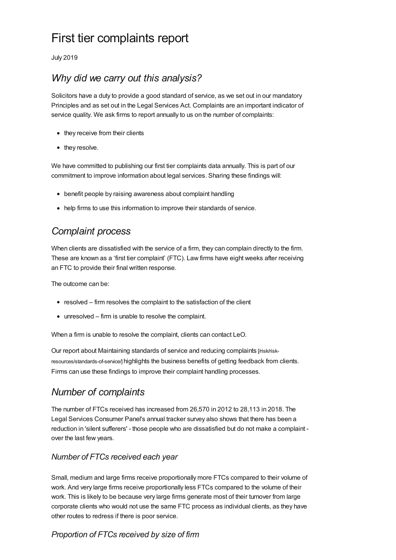# First tier complaints report

July 2019

# *Why did we carry out this analysis?*

Solicitors have a duty to provide a good standard of service, as we set out in our mandatory Principles and as set out in the Legal Services Act. Complaints are an important indicator of service quality. We ask firms to report annually to us on the number of complaints:

- they receive from their clients
- they resolve.

We have committed to publishing our first tier complaints data annually. This is part of our commitment to improve information about legal services. Sharing these findings will:

- benefit people by raising awareness about complaint handling
- help firms to use this information to improve their standards of service.

# *Complaint process*

When clients are dissatisfied with the service of a firm, they can complain directly to the firm. These are known as a 'first tier complaint' (FTC). Law firms have eight weeks after receiving an FTC to provide their final written response.

The outcome can be:

- resolved firm resolves the complaint to the satisfaction of the client
- unresolved firm is unable to resolve the complaint.

When a firm is unable to resolve the complaint, clients can contact LeO.

Our report about Maintaining standards of service and reducing complaints [/risk/risk[resources/standards-of-service/\]](https://www.sra.org.uk/risk/risk-resources/standards-of-service/) highlights the business benefits of getting feedback from clients. Firms can use these findings to improve their complaint handling processes.

### *Number of complaints*

The number of FTCs received has increased from 26,570 in 2012 to 28,113 in 2018. The Legal Services Consumer Panel's annual tracker survey also shows that there has been a reduction in 'silent sufferers' - those people who are dissatisfied but do not make a complaint over the last few years.

### *Number of FTCs received each year*

Small, medium and large firms receive proportionally more FTCs compared to their volume of work. And very large firms receive proportionally less FTCs compared to the volume of their work. This is likely to be because very large firms generate most of their turnover from large corporate clients who would not use the same FTC process as individual clients, as they have other routes to redress if there is poor service.

### *Proportion of FTCs received by size of firm*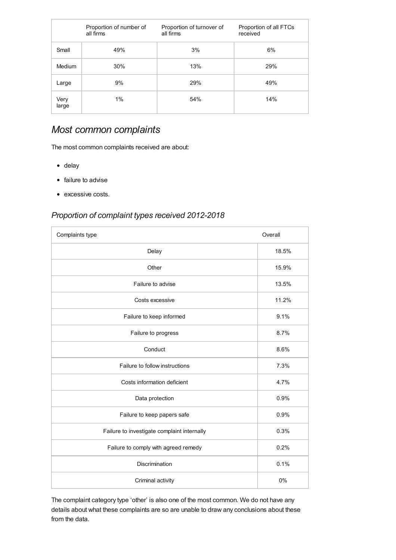|               | Proportion of number of<br>all firms | Proportion of turnover of<br>all firms | Proportion of all FTCs<br>received |
|---------------|--------------------------------------|----------------------------------------|------------------------------------|
| Small         | 49%                                  | 3%                                     | 6%                                 |
| Medium        | 30%                                  | 13%                                    | 29%                                |
| Large         | 9%                                   | 29%                                    | 49%                                |
| Very<br>large | 1%                                   | 54%                                    | 14%                                |

# *Most common complaints*

The most common complaints received are about:

- delay
- failure to advise
- excessive costs.

### *Proportion of complaint types received 2012-2018*

| Complaints type                             | Overall |
|---------------------------------------------|---------|
| Delay                                       | 18.5%   |
| Other                                       | 15.9%   |
| Failure to advise                           | 13.5%   |
| Costs excessive                             | 11.2%   |
| Failure to keep informed                    | 9.1%    |
| Failure to progress                         | 8.7%    |
| Conduct                                     | 8.6%    |
| Failure to follow instructions              | 7.3%    |
| Costs information deficient                 | 4.7%    |
| Data protection                             | 0.9%    |
| Failure to keep papers safe                 | 0.9%    |
| Failure to investigate complaint internally | 0.3%    |
| Failure to comply with agreed remedy        | 0.2%    |
| <b>Discrimination</b>                       | 0.1%    |
| Criminal activity                           | 0%      |

The complaint category type 'other' is also one of the most common. We do not have any details about what these complaints are so are unable to draw any conclusions about these from the data.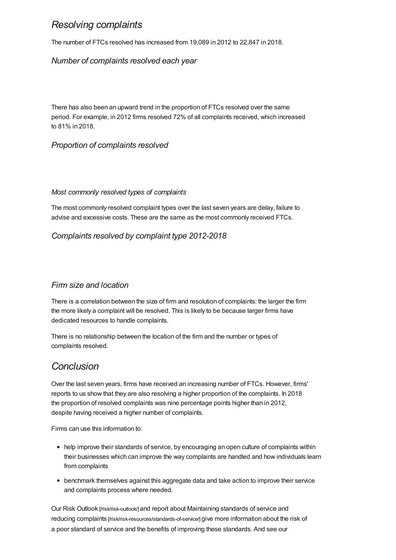### *Resolving complaints*

The number of FTCs resolved has increased from 19,089 in 2012 to 22,847 in 2018.

#### *Number of complaints resolved each year*

There has also been an upward trend in the proportion of FTCs resolved over the same period. For example, in 2012 firms resolved 72% of all complaints received, which increased to 81% in 2018.

#### *Proportion of complaints resolved*

#### *Most commonly resolved types of complaints*

The most commonly resolved complaint types over the last seven years are delay, failure to advise and excessive costs. These are the same as the most commonly received FTCs.

### *Complaints resolved by complaint type 2012-2018*

#### *Firm size and location*

There is a correlation between the size of firm and resolution of complaints: the larger the firm the more likely a complaint will be resolved. This is likely to be because larger firms have dedicated resources to handle complaints.

There is no relationship between the location of the firm and the number or types of complaints resolved.

### *Conclusion*

Over the last seven years, firms have received an increasing number of FTCs. However, firms' reports to us show that they are also resolving a higher proportion of the complaints. In 2018 the proportion of resolved complaints was nine percentage points higher than in 2012, despite having received a higher number of complaints.

Firms can use this information to:

- help improve their standards of service, by encouraging an open culture of complaints within their businesses which can improve the way complaints are handled and how individuals learn from complaints
- benchmark themselves against this aggregate data and take action to improve their service and complaints process where needed.

Our Risk Outlook [\[/risk/risk-outlook/\]](https://www.sra.org.uk/risk/risk-outlook/) and report about Maintaining standards of service and reducing complaints [\[/risk/risk-resources/standards-of-service/\]](https://www.sra.org.uk/risk/risk-resources/standards-of-service/) give more information about the risk of a poor standard of service and the benefits of improving these standards. And see our